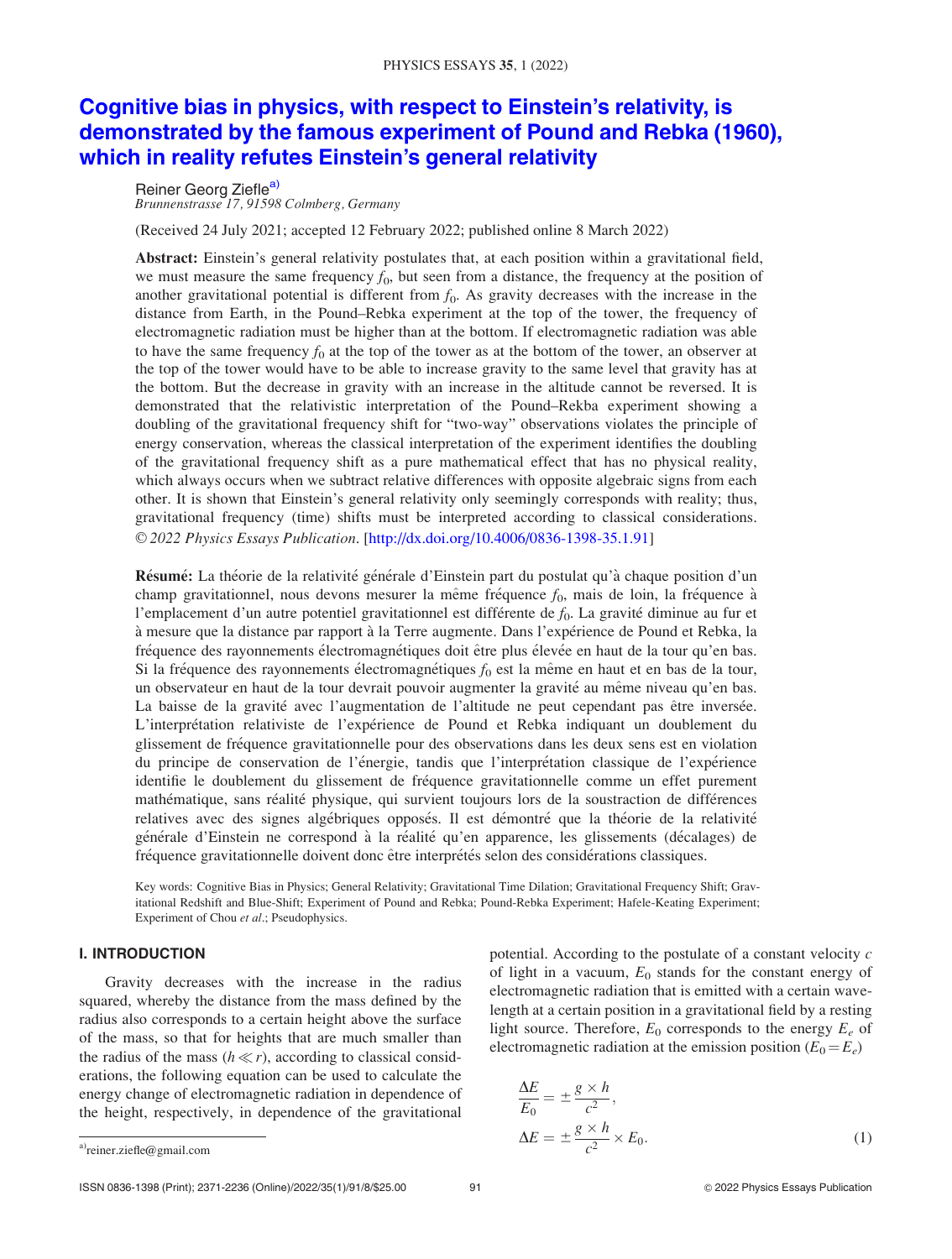# [Cognitive bias in physics, with respect to Einstein's relativity, is](http://dx.doi.org/10.4006/0836-1398-35.1.91) [demonstrated by the famous experiment of Pound and Rebka \(1960\),](http://dx.doi.org/10.4006/0836-1398-35.1.91) [which in reality refutes Einstein's general relativity](http://dx.doi.org/10.4006/0836-1398-35.1.91)

Reiner Georg Ziefle<sup>a)</sup> Brunnenstrasse 17, 91598 Colmberg, Germany

(Received 24 July 2021; accepted 12 February 2022; published online 8 March 2022)

Abstract: Einstein's general relativity postulates that, at each position within a gravitational field, we must measure the same frequency  $f_0$ , but seen from a distance, the frequency at the position of another gravitational potential is different from  $f_0$ . As gravity decreases with the increase in the distance from Earth, in the Pound–Rebka experiment at the top of the tower, the frequency of electromagnetic radiation must be higher than at the bottom. If electromagnetic radiation was able to have the same frequency  $f_0$  at the top of the tower as at the bottom of the tower, an observer at the top of the tower would have to be able to increase gravity to the same level that gravity has at the bottom. But the decrease in gravity with an increase in the altitude cannot be reversed. It is demonstrated that the relativistic interpretation of the Pound–Rekba experiment showing a doubling of the gravitational frequency shift for "two-way" observations violates the principle of energy conservation, whereas the classical interpretation of the experiment identifies the doubling of the gravitational frequency shift as a pure mathematical effect that has no physical reality, which always occurs when we subtract relative differences with opposite algebraic signs from each other. It is shown that Einstein's general relativity only seemingly corresponds with reality; thus, gravitational frequency (time) shifts must be interpreted according to classical considerations. V<sup>C</sup> 2022 Physics Essays Publication. [http://dx.doi.org/10.4006/0836-1398-35.1.91]

Résumé: La théorie de la relativité générale d'Einstein part du postulat qu'à chaque position d'un champ gravitationnel, nous devons mesurer la même fréquence  $f_0$ , mais de loin, la fréquence à l'emplacement d'un autre potentiel gravitationnel est différente de  $f_0$ . La gravité diminue au fur et à mesure que la distance par rapport à la Terre augmente. Dans l'expérience de Pound et Rebka, la fréquence des rayonnements électromagnétiques doit être plus élevée en haut de la tour qu'en bas. Si la fréquence des rayonnements électromagnétiques  $f_0$  est la même en haut et en bas de la tour, un observateur en haut de la tour devrait pouvoir augmenter la gravité au même niveau qu'en bas. La baisse de la gravité avec l'augmentation de l'altitude ne peut cependant pas être inversée. L'interprétation relativiste de l'expérience de Pound et Rebka indiquant un doublement du glissement de fréquence gravitationnelle pour des observations dans les deux sens est en violation du principe de conservation de l'énergie, tandis que l'interprétation classique de l'expérience identifie le doublement du glissement de fréquence gravitationnelle comme un effet purement mathématique, sans réalité physique, qui survient toujours lors de la soustraction de différences relatives avec des signes algébriques opposés. Il est démontré que la théorie de la relativité générale d'Einstein ne correspond à la réalité qu'en apparence, les glissements (décalages) de fréquence gravitationnelle doivent donc être interprétés selon des considérations classiques.

Key words: Cognitive Bias in Physics; General Relativity; Gravitational Time Dilation; Gravitational Frequency Shift; Gravitational Redshift and Blue-Shift; Experiment of Pound and Rebka; Pound-Rebka Experiment; Hafele-Keating Experiment; Experiment of Chou et al.; Pseudophysics.

## I. INTRODUCTION

Gravity decreases with the increase in the radius squared, whereby the distance from the mass defined by the radius also corresponds to a certain height above the surface of the mass, so that for heights that are much smaller than the radius of the mass  $(h \ll r)$ , according to classical considerations, the following equation can be used to calculate the energy change of electromagnetic radiation in dependence of the height, respectively, in dependence of the gravitational

potential. According to the postulate of a constant velocity  $c$ of light in a vacuum,  $E_0$  stands for the constant energy of electromagnetic radiation that is emitted with a certain wavelength at a certain position in a gravitational field by a resting light source. Therefore,  $E_0$  corresponds to the energy  $E_e$  of electromagnetic radiation at the emission position  $(E_0 = E_e)$ 

energy change of electromagnetic radiation in dependence of  
\nthe height, respectively, in dependence of the gravitational  
\n
$$
\frac{\Delta E}{E_0} = \pm \frac{g \times h}{c^2},
$$
\n
$$
\Delta E = \pm \frac{g \times h}{c^2} \times E_0.
$$
\n(1)

 $\overline{a}$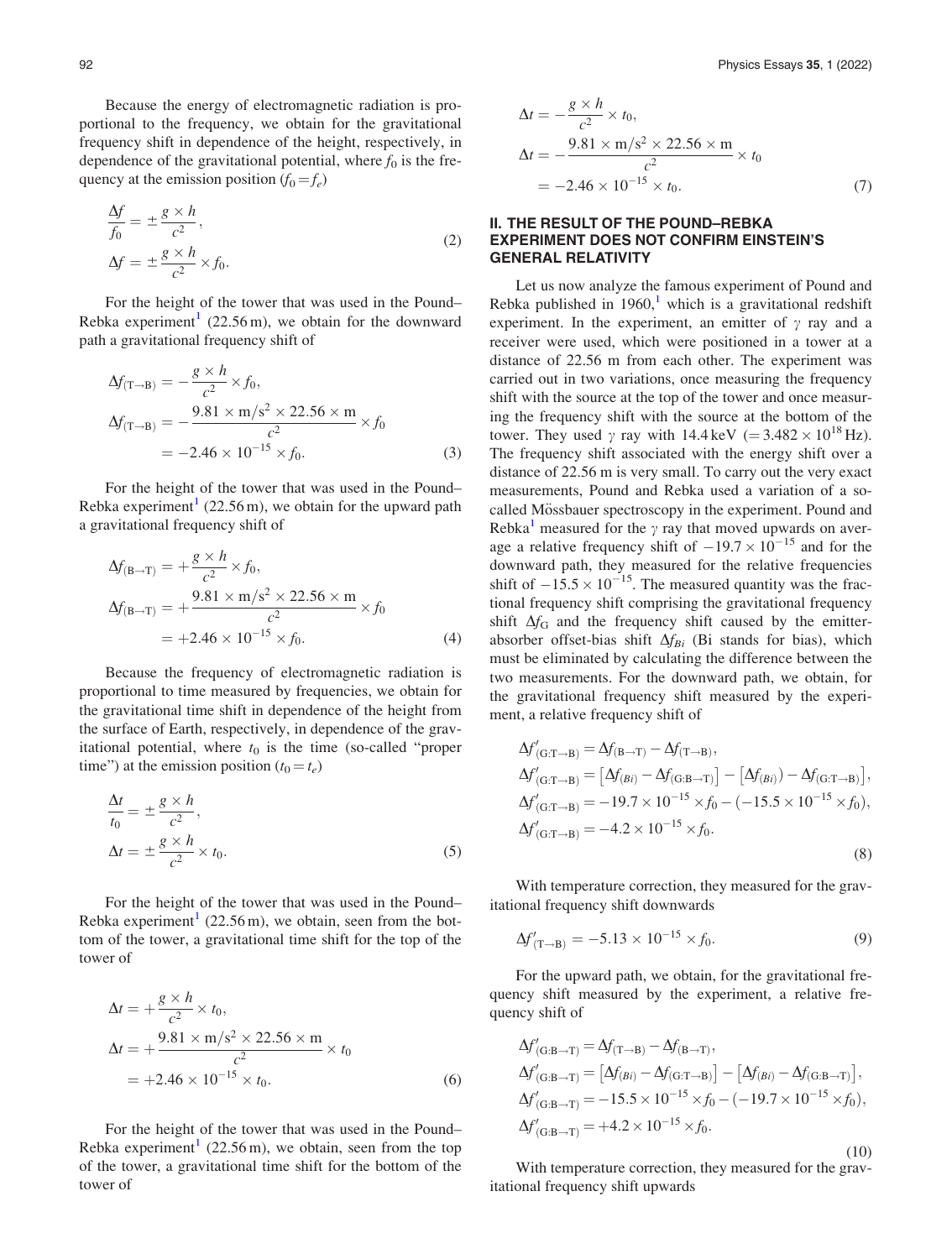<span id="page-1-0"></span>Because the energy of electromagnetic radiation is proportional to the frequency, we obtain for the gravitational frequency shift in dependence of the height, respectively, in dependence of the gravitational potential, where  $f_0$  is the frequency at the emission position  $(f_0 = f_e)$ 

$$
\frac{\Delta f}{f_0} = \pm \frac{g \times h}{c^2},
$$
  
\n
$$
\Delta f = \pm \frac{g \times h}{c^2} \times f_0.
$$
\n(2)

For the height of the tower that was used in the Pound– Rebka experiment<sup>[1](#page-7-0)</sup> (22.56 m), we obtain for the downward path a gravitational frequency shift of

$$
\Delta f_{(T \to B)} = -\frac{g \times h}{c^2} \times f_0, \n\Delta f_{(T \to B)} = -\frac{9.81 \times m/s^2 \times 22.56 \times m}{c^2} \times f_0 \n= -2.46 \times 10^{-15} \times f_0.
$$
\n(3)

For the height of the tower that was used in the Pound– Rebka experiment<sup>[1](#page-7-0)</sup> (22.56 m), we obtain for the upward path a gravitational frequency shift of

$$
\Delta f_{\text{(B}\to\text{T})} = +\frac{g \times h}{c^2} \times f_0, \n\Delta f_{\text{(B}\to\text{T})} = +\frac{9.81 \times \text{m/s}^2 \times 22.56 \times \text{m}}{c^2} \times f_0 \n= +2.46 \times 10^{-15} \times f_0.
$$
\n(4)

Because the frequency of electromagnetic radiation is proportional to time measured by frequencies, we obtain for the gravitational time shift in dependence of the height from the surface of Earth, respectively, in dependence of the gravitational potential, where  $t_0$  is the time (so-called "proper time") at the emission position  $(t_0 = t_e)$ 

$$
\frac{\Delta t}{t_0} = \pm \frac{g \times h}{c^2},
$$
  
\n
$$
\Delta t = \pm \frac{g \times h}{c^2} \times t_0.
$$
\n(5)

For the height of the tower that was used in the Pound– Rebka experiment<sup>1</sup> (22.56 m), we obtain, seen from the bottom of the tower, a gravitational time shift for the top of the tower of

$$
\Delta t = +\frac{g \times h}{c^2} \times t_0,
$$
  
\n
$$
\Delta t = +\frac{9.81 \times m/s^2 \times 22.56 \times m}{c^2} \times t_0
$$
  
\n= +2.46 × 10<sup>-15</sup> × t<sub>0</sub>. (6)

For the height of the tower that was used in the Pound– Rebka experiment<sup>[1](#page-7-0)</sup> (22.56 m), we obtain, seen from the top of the tower, a gravitational time shift for the bottom of the tower of

$$
\Delta t = -\frac{g \times h}{c^2} \times t_0,
$$
  
\n
$$
\Delta t = -\frac{9.81 \times m/s^2 \times 22.56 \times m}{c^2} \times t_0
$$
  
\n= -2.46 × 10<sup>-15</sup> × t<sub>0</sub>. (7)

### II. THE RESULT OF THE POUND–REBKA EXPERIMENT DOES NOT CONFIRM EINSTEIN'S GENERAL RELATIVITY

Let us now analyze the famous experiment of Pound and Rebka published in [1](#page-7-0)960,<sup>1</sup> which is a gravitational redshift experiment. In the experiment, an emitter of  $\gamma$  ray and a receiver were used, which were positioned in a tower at a distance of 22.56 m from each other. The experiment was carried out in two variations, once measuring the frequency shift with the source at the top of the tower and once measuring the frequency shift with the source at the bottom of the tower. They used  $\gamma$  ray with 14.4 keV (= 3.482  $\times$  10<sup>18</sup> Hz). The frequency shift associated with the energy shift over a distance of 22.56 m is very small. To carry out the very exact measurements, Pound and Rebka used a variation of a socalled Mössbauer spectroscopy in the experiment. Pound and Rebka<sup>[1](#page-7-0)</sup> measured for the  $\gamma$  ray that moved upwards on average a relative frequency shift of  $-19.7 \times 10^{-15}$  and for the downward path, they measured for the relative frequencies shift of  $-15.5 \times 10^{-15}$ . The measured quantity was the fractional frequency shift comprising the gravitational frequency shift  $\Delta f_G$  and the frequency shift caused by the emitterabsorber offset-bias shift  $\Delta f_{Bi}$  (Bi stands for bias), which must be eliminated by calculating the difference between the two measurements. For the downward path, we obtain, for the gravitational frequency shift measured by the experiment, a relative frequency shift of

$$
\Delta f'_{(\text{G}:T\to\text{B})} = \Delta f_{(\text{B}\to\text{T})} - \Delta f_{(\text{T}\to\text{B})},
$$
  
\n
$$
\Delta f'_{(\text{G}:T\to\text{B})} = [\Delta f_{(\text{B}i)} - \Delta f_{(\text{G}:B\to\text{T})}] - [\Delta f_{(\text{B}i)}) - \Delta f_{(\text{G}:T\to\text{B})}],
$$
  
\n
$$
\Delta f'_{(\text{G}:T\to\text{B})} = -19.7 \times 10^{-15} \times f_0 - (-15.5 \times 10^{-15} \times f_0),
$$
  
\n
$$
\Delta f'_{(\text{G}:T\to\text{B})} = -4.2 \times 10^{-15} \times f_0.
$$
  
\n(8)

With temperature correction, they measured for the gravitational frequency shift downwards

$$
\Delta f'_{(\text{T}\to\text{B})} = -5.13 \times 10^{-15} \times f_0. \tag{9}
$$

For the upward path, we obtain, for the gravitational frequency shift measured by the experiment, a relative frequency shift of

$$
\Delta f'_{(\text{G:B}\to\text{T})} = \Delta f_{(\text{T}\to\text{B})} - \Delta f_{(\text{B}\to\text{T})},
$$
  
\n
$$
\Delta f'_{(\text{G:B}\to\text{T})} = [\Delta f_{(\text{B}i)} - \Delta f_{(\text{G:T}\to\text{B})}] - [\Delta f_{(\text{B}i)} - \Delta f_{(\text{G:B}\to\text{T})}],
$$
  
\n
$$
\Delta f'_{(\text{G:B}\to\text{T})} = -15.5 \times 10^{-15} \times f_0 - (-19.7 \times 10^{-15} \times f_0),
$$
  
\n
$$
\Delta f'_{(\text{G:B}\to\text{T})} = +4.2 \times 10^{-15} \times f_0.
$$
  
\n(10)

With temperature correction, they measured for the gravitational frequency shift upwards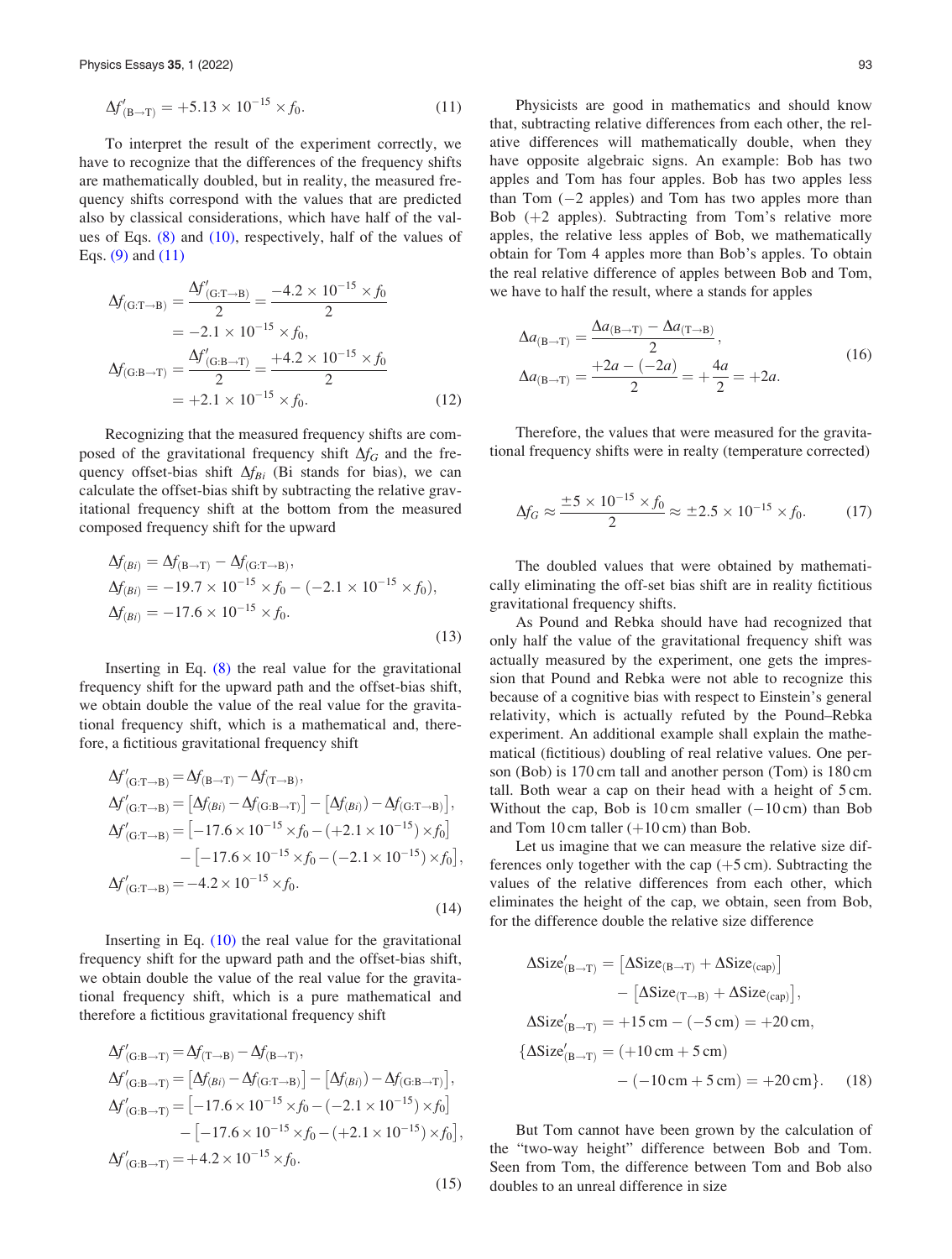<span id="page-2-0"></span>
$$
\Delta f'_{\text{(B}\to\text{T})} = +5.13 \times 10^{-15} \times f_0. \tag{11}
$$

To interpret the result of the experiment correctly, we have to recognize that the differences of the frequency shifts are mathematically doubled, but in reality, the measured frequency shifts correspond with the values that are predicted also by classical considerations, which have half of the values of Eqs.  $(8)$  and  $(10)$ , respectively, half of the values of Eqs. [\(9\)](#page-1-0) and [\(11\)](#page-1-0)

$$
\Delta f_{(\text{G:T}\rightarrow\text{B})} = \frac{\Delta f'_{(\text{G:T}\rightarrow\text{B})}}{2} = \frac{-4.2 \times 10^{-15} \times f_0}{2}
$$
  
= -2.1 × 10<sup>-15</sup> × f<sub>0</sub>,  

$$
\Delta f_{(\text{G:B}\rightarrow\text{T})} = \frac{\Delta f'_{(\text{G:B}\rightarrow\text{T})}}{2} = \frac{+4.2 \times 10^{-15} \times f_0}{2}
$$
  
= +2.1 × 10<sup>-15</sup> × f<sub>0</sub>. (12)

Recognizing that the measured frequency shifts are composed of the gravitational frequency shift  $\Delta f_G$  and the frequency offset-bias shift  $\Delta f_{Bi}$  (Bi stands for bias), we can calculate the offset-bias shift by subtracting the relative gravitational frequency shift at the bottom from the measured composed frequency shift for the upward

$$
\Delta f_{(Bi)} = \Delta f_{(B \to T)} - \Delta f_{(G:T \to B)},
$$
  
\n
$$
\Delta f_{(Bi)} = -19.7 \times 10^{-15} \times f_0 - (-2.1 \times 10^{-15} \times f_0),
$$
  
\n
$$
\Delta f_{(Bi)} = -17.6 \times 10^{-15} \times f_0.
$$
\n(13)

Inserting in Eq. [\(8\)](#page-1-0) the real value for the gravitational frequency shift for the upward path and the offset-bias shift, we obtain double the value of the real value for the gravitational frequency shift, which is a mathematical and, therefore, a fictitious gravitational frequency shift

$$
\Delta f'_{(\text{G:T}\rightarrow\text{B})} = \Delta f_{(\text{B}\rightarrow\text{T})} - \Delta f_{(\text{T}\rightarrow\text{B})},
$$
  
\n
$$
\Delta f'_{(\text{G:T}\rightarrow\text{B})} = [\Delta f_{(Bi)} - \Delta f_{(\text{G:B}\rightarrow\text{T})}] - [\Delta f_{(Bi)}) - \Delta f_{(\text{G:T}\rightarrow\text{B})}],
$$
  
\n
$$
\Delta f'_{(\text{G:T}\rightarrow\text{B})} = [-17.6 \times 10^{-15} \times f_0 - (+2.1 \times 10^{-15}) \times f_0] - [-17.6 \times 10^{-15} \times f_0 - (-2.1 \times 10^{-15}) \times f_0],
$$
  
\n
$$
\Delta f'_{(\text{G:T}\rightarrow\text{B})} = -4.2 \times 10^{-15} \times f_0.
$$
  
\n(14)

Inserting in Eq. [\(10\)](#page-1-0) the real value for the gravitational frequency shift for the upward path and the offset-bias shift, we obtain double the value of the real value for the gravitational frequency shift, which is a pure mathematical and therefore a fictitious gravitational frequency shift

$$
\Delta f'_{(G:B\to T)} = \Delta f_{(T\to B)} - \Delta f_{(B\to T)},
$$
  
\n
$$
\Delta f'_{(G:B\to T)} = [\Delta f_{(Bi)} - \Delta f_{(G:T\to B)}] - [\Delta f_{(Bi)} - \Delta f_{(G:B\to T)}],
$$
  
\n
$$
\Delta f'_{(G:B\to T)} = [-17.6 \times 10^{-15} \times f_0 - (-2.1 \times 10^{-15}) \times f_0] - [-17.6 \times 10^{-15} \times f_0 - (+2.1 \times 10^{-15}) \times f_0],
$$
  
\n
$$
\Delta f'_{(G:B\to T)} = +4.2 \times 10^{-15} \times f_0.
$$

(15)

Physicists are good in mathematics and should know that, subtracting relative differences from each other, the relative differences will mathematically double, when they have opposite algebraic signs. An example: Bob has two apples and Tom has four apples. Bob has two apples less than Tom  $(-2$  apples) and Tom has two apples more than Bob  $(+2$  apples). Subtracting from Tom's relative more apples, the relative less apples of Bob, we mathematically obtain for Tom 4 apples more than Bob's apples. To obtain the real relative difference of apples between Bob and Tom, we have to half the result, where a stands for apples

$$
\Delta a_{(B\to T)} = \frac{\Delta a_{(B\to T)} - \Delta a_{(T\to B)}}{2},
$$
  
\n
$$
\Delta a_{(B\to T)} = \frac{+2a - (-2a)}{2} = +\frac{4a}{2} = +2a.
$$
\n(16)

Therefore, the values that were measured for the gravitational frequency shifts were in realty (temperature corrected)

$$
\Delta f_G \approx \frac{\pm 5 \times 10^{-15} \times f_0}{2} \approx \pm 2.5 \times 10^{-15} \times f_0. \tag{17}
$$

The doubled values that were obtained by mathematically eliminating the off-set bias shift are in reality fictitious gravitational frequency shifts.

As Pound and Rebka should have had recognized that only half the value of the gravitational frequency shift was actually measured by the experiment, one gets the impression that Pound and Rebka were not able to recognize this because of a cognitive bias with respect to Einstein's general relativity, which is actually refuted by the Pound–Rebka experiment. An additional example shall explain the mathematical (fictitious) doubling of real relative values. One person (Bob) is 170 cm tall and another person (Tom) is 180 cm tall. Both wear a cap on their head with a height of 5 cm. Without the cap, Bob is 10 cm smaller  $(-10 \text{ cm})$  than Bob and Tom 10 cm taller  $(+10 \text{ cm})$  than Bob.

Let us imagine that we can measure the relative size differences only together with the cap  $(+5 \text{ cm})$ . Subtracting the values of the relative differences from each other, which eliminates the height of the cap, we obtain, seen from Bob, for the difference double the relative size difference

$$
\Delta Size'_{(B\rightarrow T)} = [\Delta Size_{(B\rightarrow T)} + \Delta Size_{(cap)}]
$$

$$
- [\Delta Size_{(T\rightarrow B)} + \Delta Size_{(cap)}],
$$

$$
\Delta Size'_{(B\rightarrow T)} = +15 \text{ cm} - (-5 \text{ cm}) = +20 \text{ cm},
$$

$$
\{\Delta Size'_{(B\rightarrow T)} = (+10 \text{ cm} + 5 \text{ cm}) - (-10 \text{ cm} + 5 \text{ cm}) = +20 \text{ cm}\}. \tag{18}
$$

But Tom cannot have been grown by the calculation of the "two-way height" difference between Bob and Tom. Seen from Tom, the difference between Tom and Bob also doubles to an unreal difference in size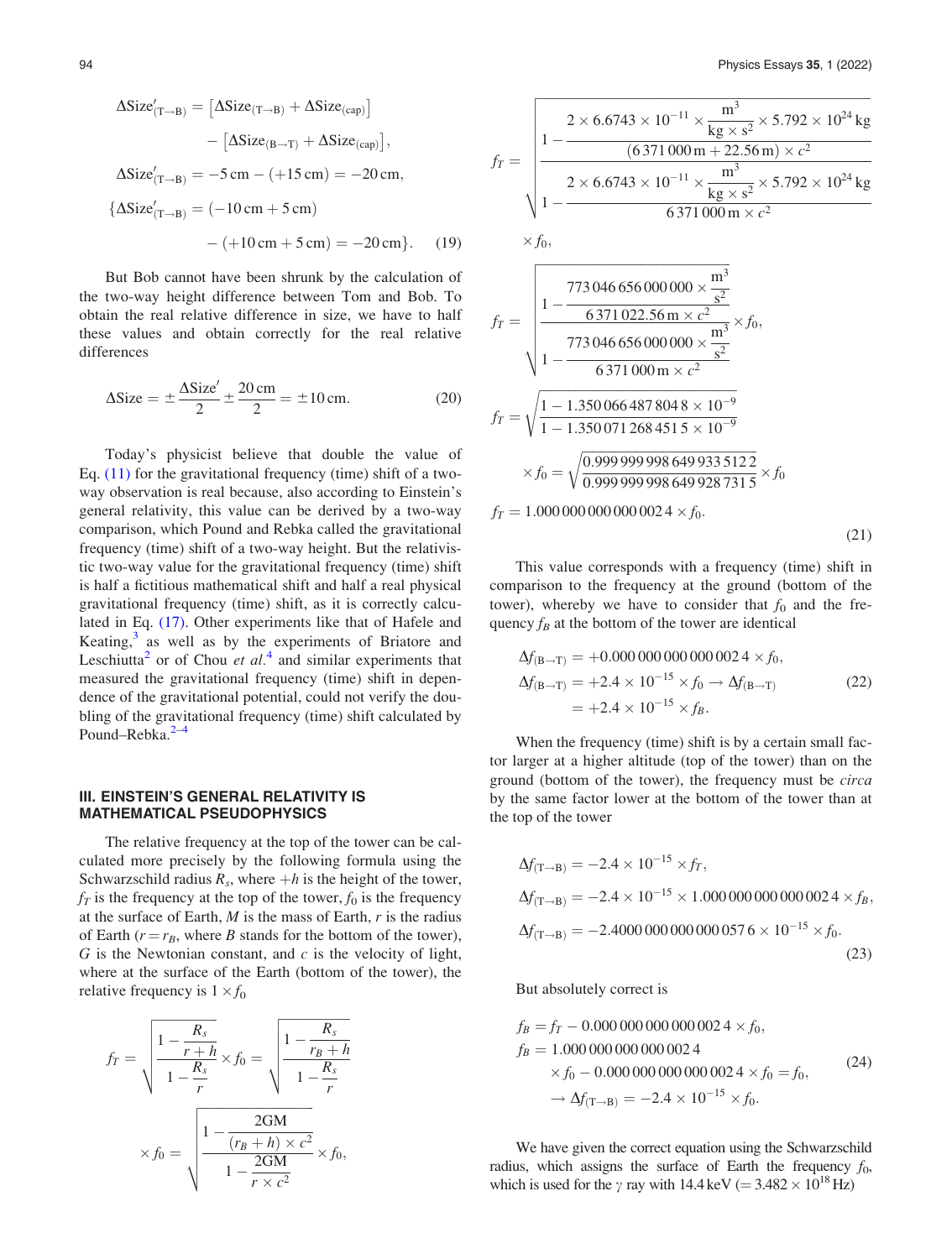$$
\Delta \text{Size}'_{(T \to B)} = [\Delta \text{Size}_{(T \to B)} + \Delta \text{Size}_{(cap)}]
$$

$$
- [\Delta \text{Size}_{(B \to T)} + \Delta \text{Size}_{(cap)}],
$$

$$
\Delta \text{Size}'_{(T \to B)} = -5 \text{ cm} - (+15 \text{ cm}) = -20 \text{ cm},
$$

$$
\{\Delta \text{Size}'_{(T \to B)} = (-10 \text{ cm} + 5 \text{ cm})
$$

$$
- (+10 \text{ cm} + 5 \text{ cm}) = -20 \text{ cm}\}.
$$
(19)

 $A \cap C$ 

But Bob cannot have been shrunk by the calculation of the two-way height difference between Tom and Bob. To obtain the real relative difference in size, we have to half these values and obtain correctly for the real relative differences

$$
\Delta \text{Size} = \pm \frac{\Delta \text{Size}'}{2} \pm \frac{20 \text{ cm}}{2} = \pm 10 \text{ cm}.
$$
 (20)

Today's physicist believe that double the value of Eq. [\(11\)](#page-1-0) for the gravitational frequency (time) shift of a twoway observation is real because, also according to Einstein's general relativity, this value can be derived by a two-way comparison, which Pound and Rebka called the gravitational frequency (time) shift of a two-way height. But the relativistic two-way value for the gravitational frequency (time) shift is half a fictitious mathematical shift and half a real physical gravitational frequency (time) shift, as it is correctly calculated in Eq. [\(17\).](#page-2-0) Other experiments like that of Hafele and Keating, $3$  as well as by the experiments of Briatore and Leschiutta<sup>[2](#page-7-0)</sup> or of Chou *et al.*<sup>[4](#page-7-0)</sup> and similar experiments that measured the gravitational frequency (time) shift in dependence of the gravitational potential, could not verify the doubling of the gravitational frequency (time) shift calculated by Pound–Rebka.<sup>[2–4](#page-7-0)</sup>

#### III. EINSTEIN'S GENERAL RELATIVITY IS MATHEMATICAL PSEUDOPHYSICS

The relative frequency at the top of the tower can be calculated more precisely by the following formula using the Schwarzschild radius  $R_s$ , where  $+h$  is the height of the tower,  $f<sub>T</sub>$  is the frequency at the top of the tower,  $f<sub>0</sub>$  is the frequency at the surface of Earth,  $M$  is the mass of Earth,  $r$  is the radius of Earth ( $r = r_B$ , where B stands for the bottom of the tower),  $G$  is the Newtonian constant, and  $c$  is the velocity of light, where at the surface of the Earth (bottom of the tower), the relative frequency is  $1 \times f_0$ 

$$
f_T = \sqrt{\frac{1 - \frac{R_s}{r + h}}{1 - \frac{R_s}{r}}} \times f_0 = \sqrt{\frac{1 - \frac{R_s}{r_B + h}}{1 - \frac{R_s}{r}}}
$$

$$
\times f_0 = \sqrt{\frac{1 - \frac{2GM}{(r_B + h) \times c^2}}{1 - \frac{2GM}{r \times c^2}}} \times f_0,
$$

$$
f_{T} = \sqrt{\frac{1 - \frac{2 \times 6.6743 \times 10^{-11} \times \frac{m^3}{kg \times s^2} \times 5.792 \times 10^{24} kg}{1 - \frac{2 \times 6.6743 \times 10^{-11} \times \frac{m^3}{kg \times s^2} \times 5.792 \times 10^{24} kg}{6371\,000 \text{ m} \times c^2}} \times f_{0},
$$
\n
$$
f_{T} = \sqrt{\frac{1 - \frac{773\,046\,656\,000\,000 \times \frac{m^3}{s^2}}{1 - \frac{6371\,022.56 \text{ m} \times c^2}{6371\,000 \text{ m} \times c^2}} \times f_{0},}
$$
\n
$$
f_{T} = \sqrt{\frac{1 - 1.350\,066\,487\,804\,8 \times 10^{-9}}{1 - 1.350\,071\,268\,451\,5 \times 10^{-9}} \times f_{0} = \sqrt{\frac{0.999\,999\,998\,649\,933\,512\,2}{0.999\,999\,998\,649\,928\,731\,5}} \times f_{0}
$$
\n
$$
f_{T} = 1.000\,000\,000\,000\,000\,24 \times f_{0}.
$$
\n(21)

This value corresponds with a frequency (time) shift in comparison to the frequency at the ground (bottom of the tower), whereby we have to consider that  $f_0$  and the frequency  $f_B$  at the bottom of the tower are identical

$$
\Delta f_{\text{(B}\to\text{T})} = +0.000\,000\,000\,000\,002\,4 \times f_0, \n\Delta f_{\text{(B}\to\text{T})} = +2.4 \times 10^{-15} \times f_0 \to \Delta f_{\text{(B}\to\text{T})} \n= +2.4 \times 10^{-15} \times f_B.
$$
\n(22)

When the frequency (time) shift is by a certain small factor larger at a higher altitude (top of the tower) than on the ground (bottom of the tower), the frequency must be circa by the same factor lower at the bottom of the tower than at the top of the tower

$$
\Delta f_{(\text{T}\to\text{B})} = -2.4 \times 10^{-15} \times f_T,
$$
  
\n
$$
\Delta f_{(\text{T}\to\text{B})} = -2.4 \times 10^{-15} \times 1.000\,000\,000\,00024 \times f_B,
$$
  
\n
$$
\Delta f_{(\text{T}\to\text{B})} = -2.4000\,000\,000\,000\,0576 \times 10^{-15} \times f_0.
$$
\n(23)

But absolutely correct is

$$
f_B = f_T - 0.000\,000\,000\,000\,002\,4 \times f_0,
$$
  
\n
$$
f_B = 1.000\,000\,000\,000\,002\,4
$$
  
\n
$$
\times f_0 - 0.000\,000\,000\,000\,002\,4 \times f_0 = f_0,
$$
  
\n
$$
\to \Delta f_{(T \to B)} = -2.4 \times 10^{-15} \times f_0.
$$
\n(24)

We have given the correct equation using the Schwarzschild radius, which assigns the surface of Earth the frequency  $f_0$ , which is used for the  $\gamma$  ray with 14.4 keV (= 3.482  $\times$  10<sup>18</sup> Hz)

 $\Delta$ C $=$  $\Delta$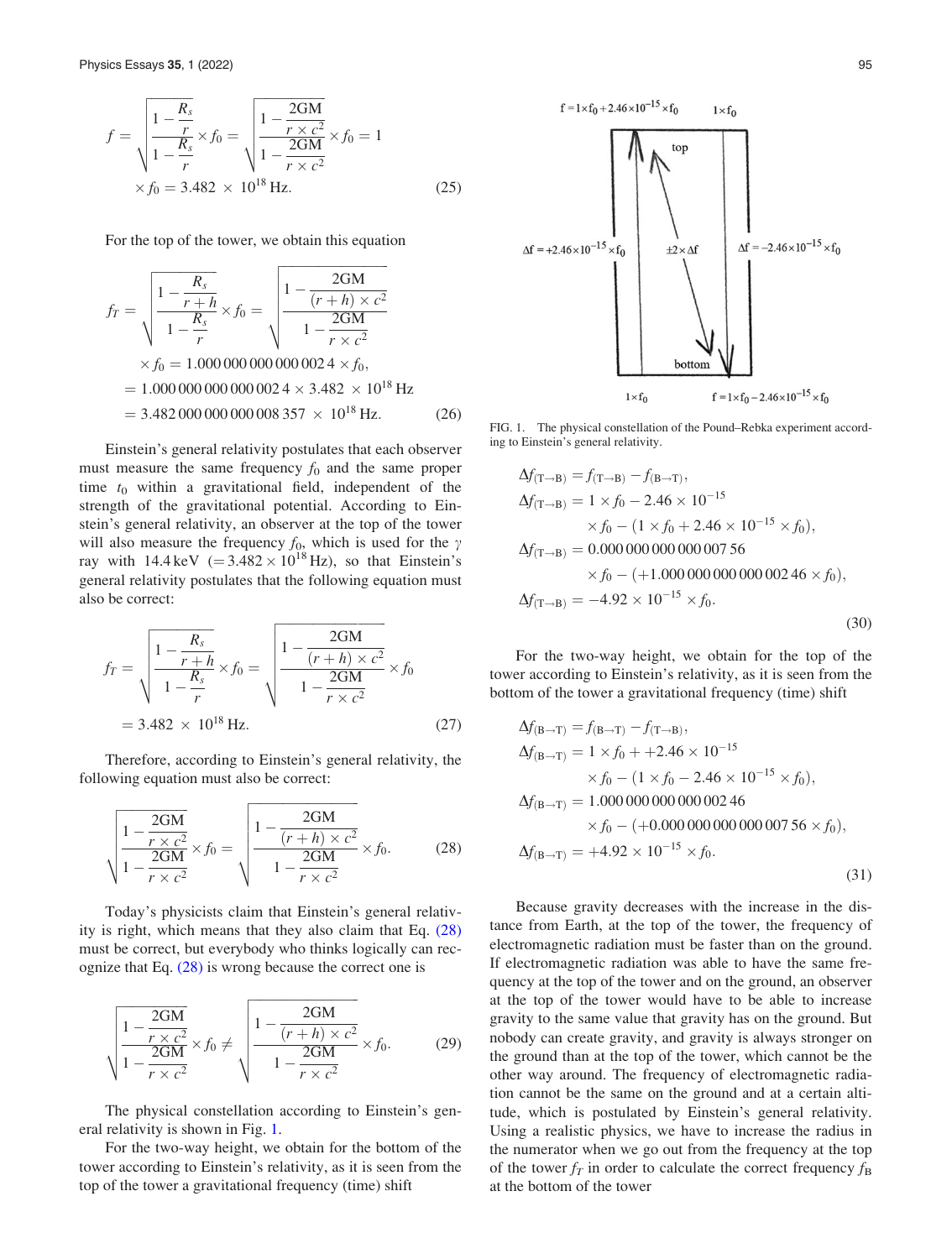$$
f = \sqrt{\frac{1 - \frac{R_s}{r}}{1 - \frac{R_s}{r}} \times f_0} = \sqrt{\frac{1 - \frac{2GM}{r \times c^2}}{1 - \frac{2GM}{r \times c^2}} \times f_0} = 1
$$
  
×  $f_0 = 3.482 \times 10^{18}$  Hz. (25)

For the top of the tower, we obtain this equation

$$
f_T = \sqrt{\frac{1 - \frac{R_s}{r + h}}{1 - \frac{R_s}{r}}} \times f_0 = \sqrt{\frac{1 - \frac{2GM}{(r + h) \times c^2}}{1 - \frac{2GM}{r \times c^2}}}
$$
  
\n
$$
\times f_0 = 1.000\,000\,000\,000\,0024 \times f_0,
$$
  
\n= 1.000\,000\,000\,000\,0024 \times 3.482 \times 10^{18} Hz  
\n= 3.482\,000\,000\,000\,008\,357 \times 10^{18} Hz. (26)

Einstein's general relativity postulates that each observer must measure the same frequency  $f_0$  and the same proper time  $t_0$  within a gravitational field, independent of the strength of the gravitational potential. According to Einstein's general relativity, an observer at the top of the tower will also measure the frequency  $f_0$ , which is used for the  $\gamma$ ray with  $14.4 \,\text{keV}$  (=  $3.482 \times 10^{18} \,\text{Hz}$ ), so that Einstein's general relativity postulates that the following equation must also be correct:

$$
f_T = \sqrt{\frac{1 - \frac{R_s}{r + h}}{1 - \frac{R_s}{r}}} \times f_0 = \sqrt{\frac{1 - \frac{2GM}{(r + h) \times c^2}}{1 - \frac{2GM}{r \times c^2}}} \times f_0
$$
  
= 3.482 × 10<sup>18</sup> Hz. (27)

Therefore, according to Einstein's general relativity, the following equation must also be correct:

$$
\sqrt{\frac{1 - \frac{2GM}{r \times c^2}}{1 - \frac{2GM}{r \times c^2}}} \times f_0 = \sqrt{\frac{1 - \frac{2GM}{(r+h) \times c^2}}{1 - \frac{2GM}{r \times c^2}}} \times f_0.
$$
 (28)

Today's physicists claim that Einstein's general relativity is right, which means that they also claim that Eq. (28) must be correct, but everybody who thinks logically can recognize that Eq. (28) is wrong because the correct one is

$$
\sqrt{\frac{1 - \frac{2GM}{r \times c^2}}{1 - \frac{2GM}{r \times c^2}}} \times f_0 \neq \sqrt{\frac{1 - \frac{2GM}{(r+h) \times c^2}}{1 - \frac{2GM}{r \times c^2}}} \times f_0.
$$
 (29)

The physical constellation according to Einstein's general relativity is shown in Fig. 1.

For the two-way height, we obtain for the bottom of the tower according to Einstein's relativity, as it is seen from the top of the tower a gravitational frequency (time) shift



FIG. 1. The physical constellation of the Pound–Rebka experiment according to Einstein's general relativity.

$$
\Delta f_{(T \to B)} = f_{(T \to B)} - f_{(B \to T)},
$$
  
\n
$$
\Delta f_{(T \to B)} = 1 \times f_0 - 2.46 \times 10^{-15}
$$
  
\n
$$
\times f_0 - (1 \times f_0 + 2.46 \times 10^{-15} \times f_0),
$$
  
\n
$$
\Delta f_{(T \to B)} = 0.000\,000\,000\,000\,0007\,56
$$
  
\n
$$
\times f_0 - (+1.000\,000\,000\,000\,002\,46 \times f_0),
$$
  
\n
$$
\Delta f_{(T \to B)} = -4.92 \times 10^{-15} \times f_0.
$$
\n(30)

For the two-way height, we obtain for the top of the tower according to Einstein's relativity, as it is seen from the bottom of the tower a gravitational frequency (time) shift

$$
\Delta f_{\text{(B}\to\text{T})} = f_{\text{(B}\to\text{T})} - f_{\text{(T}\to\text{B})},
$$
  
\n
$$
\Delta f_{\text{(B}\to\text{T})} = 1 \times f_0 + +2.46 \times 10^{-15}
$$
  
\n
$$
\times f_0 - (1 \times f_0 - 2.46 \times 10^{-15} \times f_0),
$$
  
\n
$$
\Delta f_{\text{(B}\to\text{T})} = 1.000\,000\,000\,000\,002\,46
$$
  
\n
$$
\times f_0 - (+0.000\,000\,000\,000\,007\,56 \times f_0),
$$
  
\n
$$
\Delta f_{\text{(B}\to\text{T})} = +4.92 \times 10^{-15} \times f_0.
$$
\n(31)

Because gravity decreases with the increase in the distance from Earth, at the top of the tower, the frequency of electromagnetic radiation must be faster than on the ground. If electromagnetic radiation was able to have the same frequency at the top of the tower and on the ground, an observer at the top of the tower would have to be able to increase gravity to the same value that gravity has on the ground. But nobody can create gravity, and gravity is always stronger on the ground than at the top of the tower, which cannot be the other way around. The frequency of electromagnetic radiation cannot be the same on the ground and at a certain altitude, which is postulated by Einstein's general relativity. Using a realistic physics, we have to increase the radius in the numerator when we go out from the frequency at the top of the tower  $f_T$  in order to calculate the correct frequency  $f_B$ at the bottom of the tower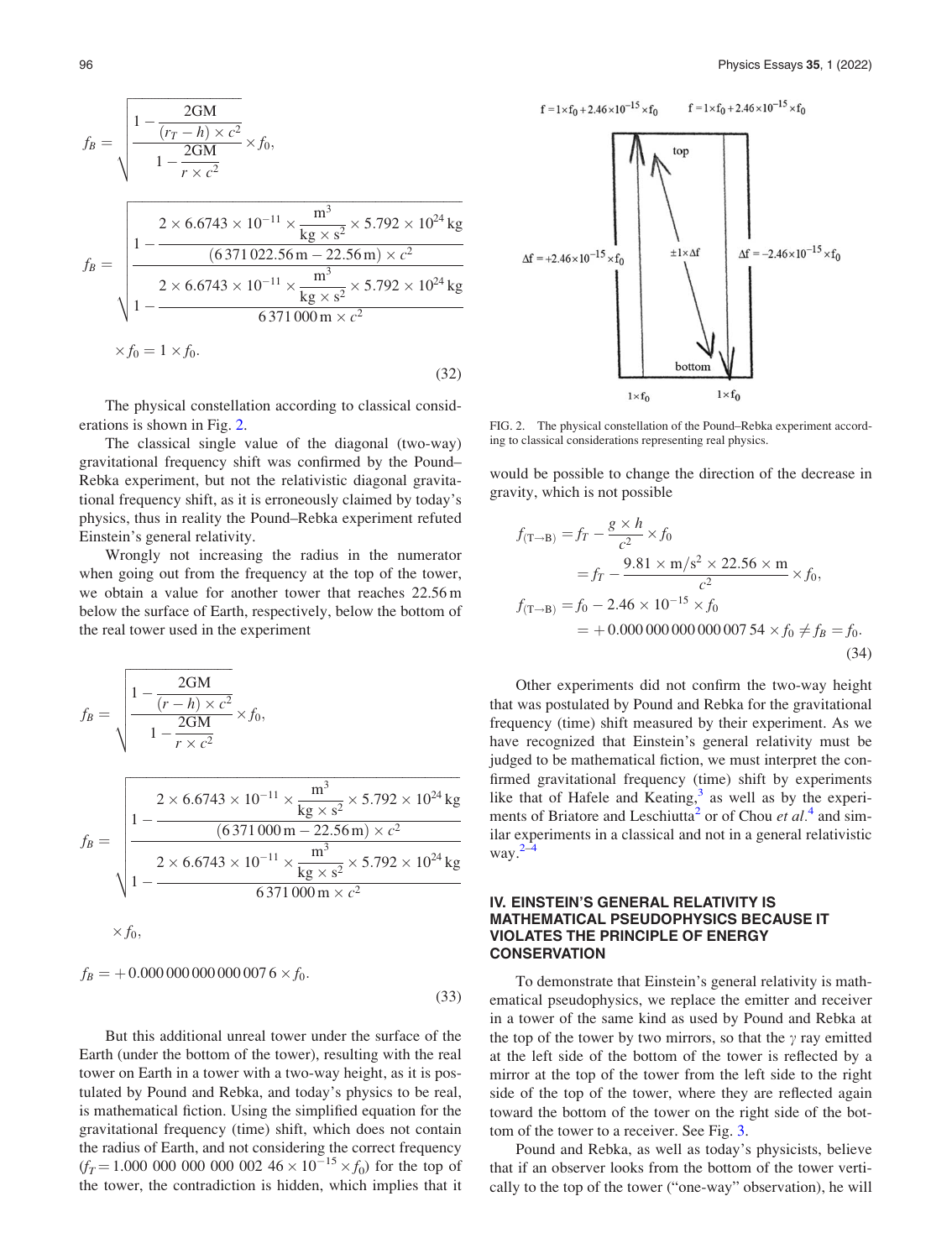$f_B =$  $1 - \frac{2GM}{(r_T - h) \times c^2}$  $\frac{1 - \frac{2GM}{1 - \frac{2GM}{1}}}{1 - \frac{2GM}{1 - \frac{2GM}{1 - \frac{2GM}{1 - \frac{2GM}{1 - \frac{2GM}{1 - \frac{2GM}{1 - \frac{2GM}{1 - \frac{2GM}{1 - \frac{2GM}{1 - \frac{2GM}{1 - \frac{2GM}{1 - \frac{2GM}{1 - \frac{2M}}}}}}}}$  $r \times c^2$  $\sqrt{ }$  $f_B =$  $\frac{1}{2}$  $1 2 \times 6.6743 \times 10^{-11} \times \frac{m^3}{\text{kg} \times \text{s}^2} \times 5.792 \times 10^{24} \text{kg}$  $(6\,371\,022.56\,\mathrm{m} - 22.56\,\mathrm{m}) \times c^2$  $1 2 \times 6.6743 \times 10^{-11} \times \frac{m^3}{\text{kg} \times \text{s}^2} \times 5.792 \times 10^{24} \text{kg}$ 6 371 000 m  $\times c^2$  $\begin{bmatrix} \phantom{-} \\ \phantom{-} \\ \phantom{-} \\ \phantom{-} \end{bmatrix}$  $\times f_0 = 1 \times f_0.$ (32)

The physical constellation according to classical considerations is shown in Fig. 2.

The classical single value of the diagonal (two-way) gravitational frequency shift was confirmed by the Pound– Rebka experiment, but not the relativistic diagonal gravitational frequency shift, as it is erroneously claimed by today's physics, thus in reality the Pound–Rebka experiment refuted Einstein's general relativity.

Wrongly not increasing the radius in the numerator when going out from the frequency at the top of the tower, we obtain a value for another tower that reaches 22.56 m below the surface of Earth, respectively, below the bottom of the real tower used in the experiment

$$
f_B = \sqrt{\frac{1 - \frac{2GM}{(r - h) \times c^2}}{1 - \frac{2GM}{r \times c^2}} \times f_0},
$$

$$
f_B = \sqrt{\frac{1 - \frac{2 \times 6.6743 \times 10^{-11} \times \frac{m^3}{kg \times s^2} \times 5.792 \times 10^{24} kg}{1 - \frac{2 \times 6.6743 \times 10^{-11} \times \frac{m^3}{kg \times s^2} \times 5.792 \times 10^{24} kg}{6371000 m \times c^2}}}
$$
  
× f<sub>0</sub>,

$$
f_B = +0.000\,000\,000\,000\,007\,6 \times f_0.
$$
\n(33)

But this additional unreal tower under the surface of the Earth (under the bottom of the tower), resulting with the real tower on Earth in a tower with a two-way height, as it is postulated by Pound and Rebka, and today's physics to be real, is mathematical fiction. Using the simplified equation for the gravitational frequency (time) shift, which does not contain the radius of Earth, and not considering the correct frequency  $(f_T = 1.000\ 000\ 000\ 000\ 002\ 46 \times 10^{-15} \times f_0)$  for the top of the tower, the contradiction is hidden, which implies that it

 ${\tt f=1\times f_0+2.46\times10^{-15}\times f_0}$  $f = 1 \times f_0 + 2.46 \times 10^{-15} \times f_0$ top  $\pm 1\times \Delta f$  $\Delta f = -2.46 \times 10^{-15} \times f_0$  $\Delta f = +2.46 \times 10^{-15} \times f_0$ bottom

FIG. 2. The physical constellation of the Pound–Rebka experiment according to classical considerations representing real physics.

 $1 \times f_0$ 

 $1 \times f_0$ 

would be possible to change the direction of the decrease in gravity, which is not possible

$$
f_{(\text{T}\rightarrow\text{B})} = f_T - \frac{g \times h}{c^2} \times f_0
$$
  
=  $f_T - \frac{9.81 \times \text{m/s}^2 \times 22.56 \times \text{m}}{c^2} \times f_0,$   
 $f_{(\text{T}\rightarrow\text{B})} = f_0 - 2.46 \times 10^{-15} \times f_0$   
= + 0.000 000 000 000 000 007 54 ×  $f_0 \neq f_B = f_0.$  (34)

Other experiments did not confirm the two-way height that was postulated by Pound and Rebka for the gravitational frequency (time) shift measured by their experiment. As we have recognized that Einstein's general relativity must be judged to be mathematical fiction, we must interpret the confirmed gravitational frequency (time) shift by experiments like that of Hafele and Keating, $3$  as well as by the experi-ments of Briatore and Leschiutta<sup>[2](#page-7-0)</sup> or of Chou et  $al<sup>4</sup>$  $al<sup>4</sup>$  $al<sup>4</sup>$  and similar experiments in a classical and not in a general relativistic way. $2-4$ 

### IV. EINSTEIN'S GENERAL RELATIVITY IS MATHEMATICAL PSEUDOPHYSICS BECAUSE IT VIOLATES THE PRINCIPLE OF ENERGY **CONSERVATION**

To demonstrate that Einstein's general relativity is mathematical pseudophysics, we replace the emitter and receiver in a tower of the same kind as used by Pound and Rebka at the top of the tower by two mirrors, so that the  $\gamma$  ray emitted at the left side of the bottom of the tower is reflected by a mirror at the top of the tower from the left side to the right side of the top of the tower, where they are reflected again toward the bottom of the tower on the right side of the bottom of the tower to a receiver. See Fig. [3](#page-6-0).

Pound and Rebka, as well as today's physicists, believe that if an observer looks from the bottom of the tower vertically to the top of the tower ("one-way" observation), he will

ffiffiffiffiffiffiffiffiffiffiffiffiffiffiffiffiffiffiffiffiffiffiffiffiffiffiffiffiffiffiffiffiffiffi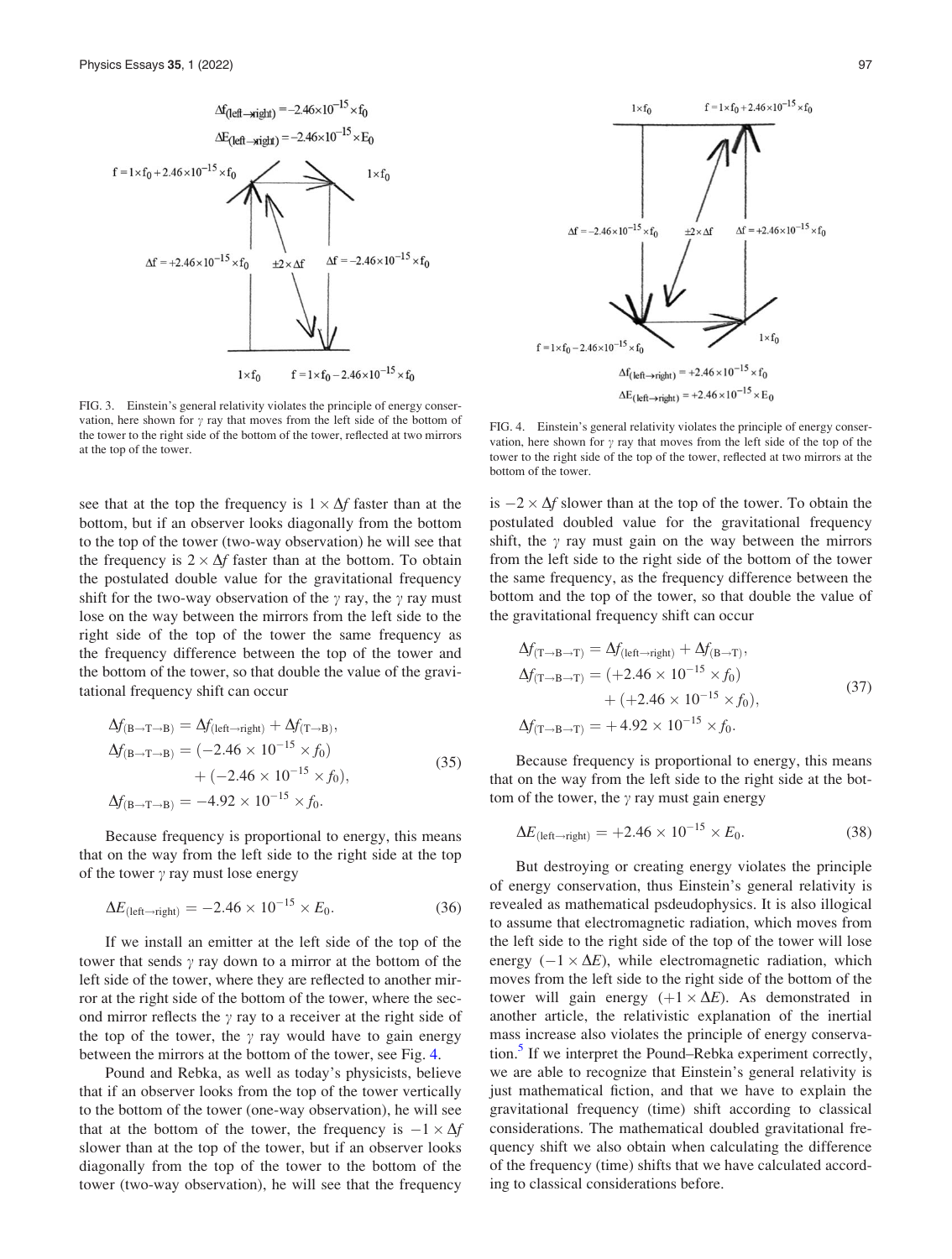<span id="page-6-0"></span>

FIG. 3. Einstein's general relativity violates the principle of energy conservation, here shown for  $\gamma$  ray that moves from the left side of the bottom of the tower to the right side of the bottom of the tower, reflected at two mirrors at the top of the tower.

see that at the top the frequency is  $1 \times \Delta f$  faster than at the bottom, but if an observer looks diagonally from the bottom to the top of the tower (two-way observation) he will see that the frequency is  $2 \times \Delta f$  faster than at the bottom. To obtain the postulated double value for the gravitational frequency shift for the two-way observation of the  $\gamma$  ray, the  $\gamma$  ray must lose on the way between the mirrors from the left side to the right side of the top of the tower the same frequency as the frequency difference between the top of the tower and the bottom of the tower, so that double the value of the gravitational frequency shift can occur

$$
\Delta f_{(B \to T \to B)} = \Delta f_{(left \to right)} + \Delta f_{(T \to B)},
$$
  
\n
$$
\Delta f_{(B \to T \to B)} = (-2.46 \times 10^{-15} \times f_0)
$$
  
\n
$$
+ (-2.46 \times 10^{-15} \times f_0),
$$
  
\n
$$
\Delta f_{(B \to T \to B)} = -4.92 \times 10^{-15} \times f_0.
$$
\n(35)

Because frequency is proportional to energy, this means that on the way from the left side to the right side at the top of the tower  $\gamma$  ray must lose energy

$$
\Delta E_{\text{(left-right)}} = -2.46 \times 10^{-15} \times E_0. \tag{36}
$$

If we install an emitter at the left side of the top of the tower that sends  $\gamma$  ray down to a mirror at the bottom of the left side of the tower, where they are reflected to another mirror at the right side of the bottom of the tower, where the second mirror reflects the  $\gamma$  ray to a receiver at the right side of the top of the tower, the  $\gamma$  ray would have to gain energy between the mirrors at the bottom of the tower, see Fig. 4.

Pound and Rebka, as well as today's physicists, believe that if an observer looks from the top of the tower vertically to the bottom of the tower (one-way observation), he will see that at the bottom of the tower, the frequency is  $-1 \times \Delta f$ slower than at the top of the tower, but if an observer looks diagonally from the top of the tower to the bottom of the tower (two-way observation), he will see that the frequency



FIG. 4. Einstein's general relativity violates the principle of energy conservation, here shown for  $\gamma$  ray that moves from the left side of the top of the tower to the right side of the top of the tower, reflected at two mirrors at the bottom of the tower.

is  $-2 \times \Delta f$  slower than at the top of the tower. To obtain the postulated doubled value for the gravitational frequency shift, the  $\gamma$  ray must gain on the way between the mirrors from the left side to the right side of the bottom of the tower the same frequency, as the frequency difference between the bottom and the top of the tower, so that double the value of the gravitational frequency shift can occur

$$
\Delta f_{(T \to B \to T)} = \Delta f_{\text{(left-right)}} + \Delta f_{(B \to T)}, \n\Delta f_{(T \to B \to T)} = (+2.46 \times 10^{-15} \times f_0) \n+ (+2.46 \times 10^{-15} \times f_0), \n\Delta f_{(T \to B \to T)} = +4.92 \times 10^{-15} \times f_0.
$$
\n(37)

Because frequency is proportional to energy, this means that on the way from the left side to the right side at the bottom of the tower, the  $\gamma$  ray must gain energy

$$
\Delta E_{\text{(left}\to \text{right})} = +2.46 \times 10^{-15} \times E_0. \tag{38}
$$

But destroying or creating energy violates the principle of energy conservation, thus Einstein's general relativity is revealed as mathematical psdeudophysics. It is also illogical to assume that electromagnetic radiation, which moves from the left side to the right side of the top of the tower will lose energy  $(-1 \times \Delta E)$ , while electromagnetic radiation, which moves from the left side to the right side of the bottom of the tower will gain energy  $(+1 \times \Delta E)$ . As demonstrated in another article, the relativistic explanation of the inertial mass increase also violates the principle of energy conservation.<sup>3</sup> If we interpret the Pound–Rebka experiment correctly, we are able to recognize that Einstein's general relativity is just mathematical fiction, and that we have to explain the gravitational frequency (time) shift according to classical considerations. The mathematical doubled gravitational frequency shift we also obtain when calculating the difference of the frequency (time) shifts that we have calculated according to classical considerations before.